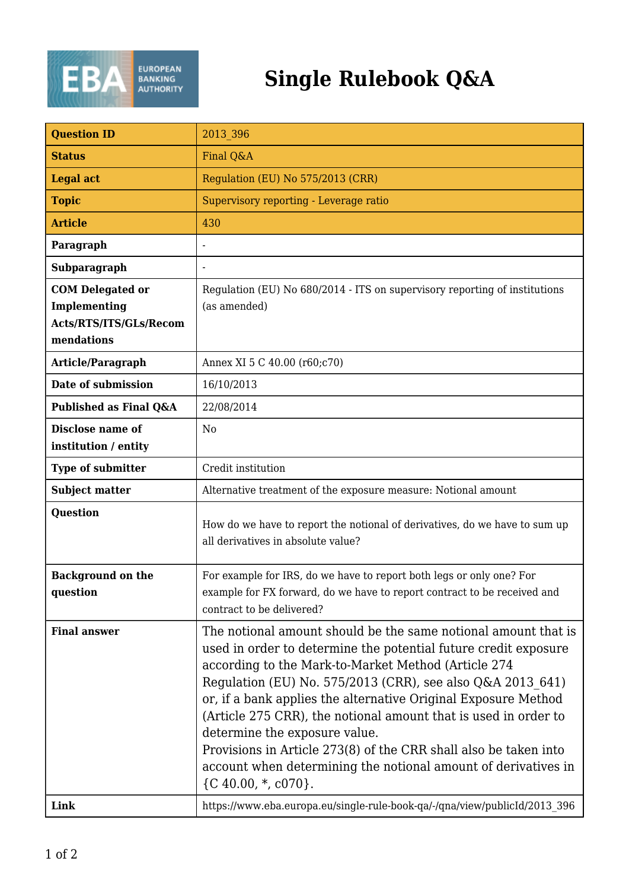

## **Single Rulebook Q&A**

| <b>Question ID</b>                   | 2013 396                                                                                                                                                                                                                                                                                                                                                                                                                                                                                                                                                                                    |
|--------------------------------------|---------------------------------------------------------------------------------------------------------------------------------------------------------------------------------------------------------------------------------------------------------------------------------------------------------------------------------------------------------------------------------------------------------------------------------------------------------------------------------------------------------------------------------------------------------------------------------------------|
| <b>Status</b>                        | Final Q&A                                                                                                                                                                                                                                                                                                                                                                                                                                                                                                                                                                                   |
| <b>Legal act</b>                     | Regulation (EU) No 575/2013 (CRR)                                                                                                                                                                                                                                                                                                                                                                                                                                                                                                                                                           |
| <b>Topic</b>                         | Supervisory reporting - Leverage ratio                                                                                                                                                                                                                                                                                                                                                                                                                                                                                                                                                      |
| <b>Article</b>                       | 430                                                                                                                                                                                                                                                                                                                                                                                                                                                                                                                                                                                         |
| Paragraph                            |                                                                                                                                                                                                                                                                                                                                                                                                                                                                                                                                                                                             |
| Subparagraph                         |                                                                                                                                                                                                                                                                                                                                                                                                                                                                                                                                                                                             |
| <b>COM Delegated or</b>              | Regulation (EU) No 680/2014 - ITS on supervisory reporting of institutions                                                                                                                                                                                                                                                                                                                                                                                                                                                                                                                  |
| Implementing                         | (as amended)                                                                                                                                                                                                                                                                                                                                                                                                                                                                                                                                                                                |
| Acts/RTS/ITS/GLs/Recom               |                                                                                                                                                                                                                                                                                                                                                                                                                                                                                                                                                                                             |
| mendations                           |                                                                                                                                                                                                                                                                                                                                                                                                                                                                                                                                                                                             |
| Article/Paragraph                    | Annex XI 5 C 40.00 (r60;c70)                                                                                                                                                                                                                                                                                                                                                                                                                                                                                                                                                                |
| Date of submission                   | 16/10/2013                                                                                                                                                                                                                                                                                                                                                                                                                                                                                                                                                                                  |
| Published as Final Q&A               | 22/08/2014                                                                                                                                                                                                                                                                                                                                                                                                                                                                                                                                                                                  |
| Disclose name of                     | N <sub>0</sub>                                                                                                                                                                                                                                                                                                                                                                                                                                                                                                                                                                              |
| institution / entity                 |                                                                                                                                                                                                                                                                                                                                                                                                                                                                                                                                                                                             |
| <b>Type of submitter</b>             | Credit institution                                                                                                                                                                                                                                                                                                                                                                                                                                                                                                                                                                          |
| <b>Subject matter</b>                | Alternative treatment of the exposure measure: Notional amount                                                                                                                                                                                                                                                                                                                                                                                                                                                                                                                              |
| <b>Question</b>                      | How do we have to report the notional of derivatives, do we have to sum up<br>all derivatives in absolute value?                                                                                                                                                                                                                                                                                                                                                                                                                                                                            |
| <b>Background on the</b><br>question | For example for IRS, do we have to report both legs or only one? For<br>example for FX forward, do we have to report contract to be received and<br>contract to be delivered?                                                                                                                                                                                                                                                                                                                                                                                                               |
| <b>Final answer</b>                  | The notional amount should be the same notional amount that is<br>used in order to determine the potential future credit exposure<br>according to the Mark-to-Market Method (Article 274<br>Regulation (EU) No. 575/2013 (CRR), see also Q&A 2013 641)<br>or, if a bank applies the alternative Original Exposure Method<br>(Article 275 CRR), the notional amount that is used in order to<br>determine the exposure value.<br>Provisions in Article 273(8) of the CRR shall also be taken into<br>account when determining the notional amount of derivatives in<br>${C 40.00, *, c070}.$ |
| Link                                 | https://www.eba.europa.eu/single-rule-book-qa/-/qna/view/publicId/2013 396                                                                                                                                                                                                                                                                                                                                                                                                                                                                                                                  |